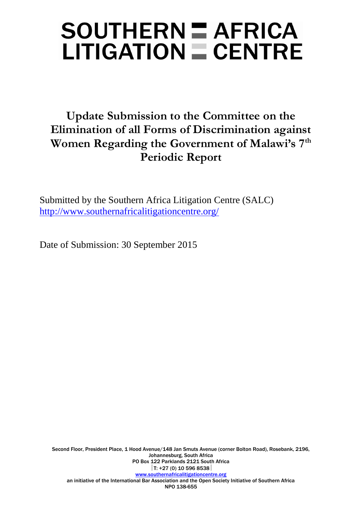# SOUTHERN = AFRICA  $LITIGATION = CENTRE$

### **Update Submission to the Committee on the Elimination of all Forms of Discrimination against Women Regarding the Government of Malawi's 7th Periodic Report**

Submitted by the Southern Africa Litigation Centre (SALC) <http://www.southernafricalitigationcentre.org/>

Date of Submission: 30 September 2015

Second Floor, President Place, 1 Hood Avenue/148 Jan Smuts Avenue (corner Bolton Road), Rosebank, 2196, Johannesburg, South Africa PO Box 122 Parklands 2121 South Africa  $|T: +27(0)$  10 596 8538 [www.southernafricalitigationcentre.org](http://www.southernafricalitigationcentre.org/) an initiative of the International Bar Association and the Open Society Initiative of Southern Africa NPO 138-655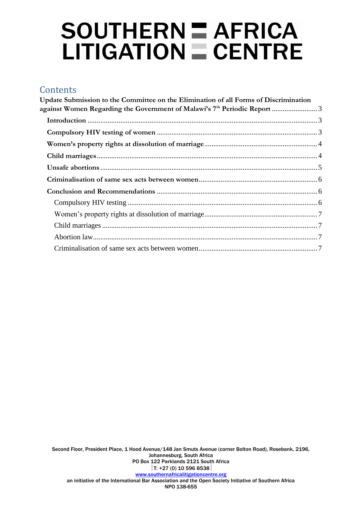# $SOUTHERN = AFRICA$  $LITIGATION \equiv CENTRE$

### **Contents**

| Update Submission to the Committee on the Elimination of all Forms of Discrimination |  |
|--------------------------------------------------------------------------------------|--|
|                                                                                      |  |
|                                                                                      |  |
|                                                                                      |  |
|                                                                                      |  |
|                                                                                      |  |
|                                                                                      |  |
|                                                                                      |  |
|                                                                                      |  |
|                                                                                      |  |
|                                                                                      |  |
|                                                                                      |  |
|                                                                                      |  |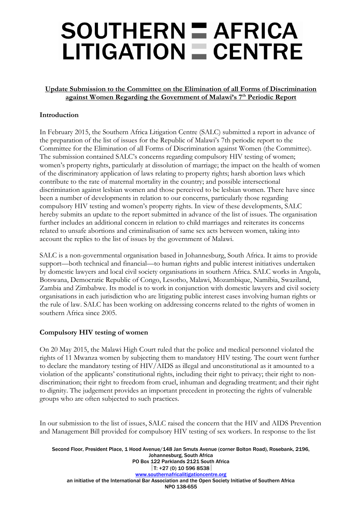### SOUTHERN = AFRICA  $LITIGATION = CENTRE$

#### <span id="page-2-0"></span>**Update Submission to the Committee on the Elimination of all Forms of Discrimination against Women Regarding the Government of Malawi's 7th Periodic Report**

#### <span id="page-2-1"></span>**Introduction**

In February 2015, the Southern Africa Litigation Centre (SALC) submitted a report in advance of the preparation of the list of issues for the Republic of Malawi's 7th periodic report to the Committee for the Elimination of all Forms of Discrimination against Women (the Committee). The submission contained SALC's concerns regarding compulsory HIV testing of women; women's property rights, particularly at dissolution of marriage; the impact on the health of women of the discriminatory application of laws relating to property rights; harsh abortion laws which contribute to the rate of maternal mortality in the country; and possible intersectional discrimination against lesbian women and those perceived to be lesbian women. There have since been a number of developments in relation to our concerns, particularly those regarding compulsory HIV testing and women's property rights. In view of these developments, SALC hereby submits an update to the report submitted in advance of the list of issues. The organisation further includes an additional concern in relation to child marriages and reiterates its concerns related to unsafe abortions and criminalisation of same sex acts between women, taking into account the replies to the list of issues by the government of Malawi.

SALC is a non-governmental organisation based in Johannesburg, South Africa. It aims to provide support—both technical and financial—to human rights and public interest initiatives undertaken by domestic lawyers and local civil society organisations in southern Africa. SALC works in Angola, Botswana, Democratic Republic of Congo, Lesotho, Malawi, Mozambique, Namibia, Swaziland, Zambia and Zimbabwe. Its model is to work in conjunction with domestic lawyers and civil society organisations in each jurisdiction who are litigating public interest cases involving human rights or the rule of law. SALC has been working on addressing concerns related to the rights of women in southern Africa since 2005.

#### <span id="page-2-2"></span>**Compulsory HIV testing of women**

On 20 May 2015, the Malawi High Court ruled that the police and medical personnel violated the rights of 11 Mwanza women by subjecting them to mandatory HIV testing. The court went further to declare the mandatory testing of HIV/AIDS as illegal and unconstitutional as it amounted to a violation of the applicants' constitutional rights, including their right to privacy; their right to nondiscrimination; their right to freedom from cruel, inhuman and degrading treatment; and their right to dignity. The judgement provides an important precedent in protecting the rights of vulnerable groups who are often subjected to such practices.

In our submission to the list of issues, SALC raised the concern that the HIV and AIDS Prevention and Management Bill provided for compulsory HIV testing of sex workers. In response to the list

Second Floor, President Place, 1 Hood Avenue/148 Jan Smuts Avenue (corner Bolton Road), Rosebank, 2196, Johannesburg, South Africa PO Box 122 Parklands 2121 South Africa  $|T: +27(0)$  10 596 8538 [www.southernafricalitigationcentre.org](http://www.southernafricalitigationcentre.org/) an initiative of the International Bar Association and the Open Society Initiative of Southern Africa NPO 138-655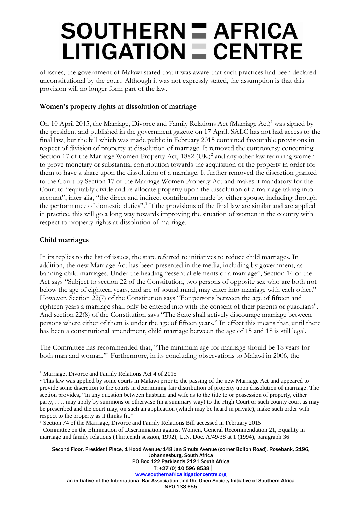# **SOUTHERN E AFRICA**  $LITIGATION \equiv CENTRE$

of issues, the government of Malawi stated that it was aware that such practices had been declared unconstitutional by the court. Although it was not expressly stated, the assumption is that this provision will no longer form part of the law.

#### <span id="page-3-0"></span>**Women's property rights at dissolution of marriage**

On 10 April 2015, the Marriage, Divorce and Family Relations Act (Marriage Act)<sup>1</sup> was signed by the president and published in the government gazette on 17 April. SALC has not had access to the final law, but the bill which was made public in February 2015 contained favourable provisions in respect of division of property at dissolution of marriage. It removed the controversy concerning Section 17 of the Marriage Women Property Act, 1882 (UK)<sup>2</sup> and any other law requiring women to prove monetary or substantial contribution towards the acquisition of the property in order for them to have a share upon the dissolution of a marriage. It further removed the discretion granted to the Court by Section 17 of the Marriage Women Property Act and makes it mandatory for the Court to "equitably divide and re-allocate property upon the dissolution of a marriage taking into account", inter alia, "the direct and indirect contribution made by either spouse, including through the performance of domestic duties".<sup>3</sup> If the provisions of the final law are similar and are applied in practice, this will go a long way towards improving the situation of women in the country with respect to property rights at dissolution of marriage.

#### <span id="page-3-1"></span>**Child marriages**

In its replies to the list of issues, the state referred to initiatives to reduce child marriages. In addition, the new Marriage Act has been presented in the media, including by government, as banning child marriages. Under the heading "essential elements of a marriage", Section 14 of the Act says "Subject to section 22 of the Constitution, two persons of opposite sex who are both not below the age of eighteen years, and are of sound mind, may enter into marriage with each other." However, Section 22(7) of the Constitution says "For persons between the age of fifteen and eighteen years a marriage shall only be entered into with the consent of their parents or guardians". And section 22(8) of the Constitution says "The State shall actively discourage marriage between persons where either of them is under the age of fifteen years." In effect this means that, until there has been a constitutional amendment, child marriage between the age of 15 and 18 is still legal.

The Committee has recommended that, "The minimum age for marriage should be 18 years for both man and woman."<sup>4</sup> Furthermore, in its concluding observations to Malawi in 2006, the

Second Floor, President Place, 1 Hood Avenue/148 Jan Smuts Avenue (corner Bolton Road), Rosebank, 2196, Johannesburg, South Africa PO Box 122 Parklands 2121 South Africa

 $\overline{a}$ <sup>1</sup> Marriage, Divorce and Family Relations Act 4 of 2015

<sup>&</sup>lt;sup>2</sup> This law was applied by some courts in Malawi prior to the passing of the new Marriage Act and appeared to provide some discretion to the courts in determining fair distribution of property upon dissolution of marriage. The section provides, "In any question between husband and wife as to the title to or possession of property, either party, . . ., may apply by summons or otherwise (in a summary way) to the High Court or such county court as may be prescribed and the court may, on such an application (which may be heard in private), make such order with respect to the property as it thinks fit."

<sup>&</sup>lt;sup>3</sup> Section 74 of the Marriage, Divorce and Family Relations Bill accessed in February 2015

<sup>4</sup> Committee on the Elimination of Discrimination against Women, General Recommendation 21, Equality in marriage and family relations (Thirteenth session, 1992), U.N. Doc. A/49/38 at 1 (1994), paragraph 36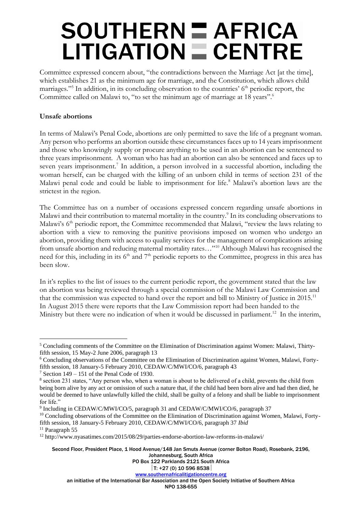# **SOUTHERN E AFRICA**  $LITIGATION \equiv CENTRE$

Committee expressed concern about, "the contradictions between the Marriage Act [at the time], which establishes 21 as the minimum age for marriage, and the Constitution, which allows child marriages."<sup>5</sup> In addition, in its concluding observation to the countries' 6<sup>th</sup> periodic report, the Committee called on Malawi to, "to set the minimum age of marriage at 18 years".<sup>6</sup>

#### <span id="page-4-0"></span>**Unsafe abortions**

In terms of Malawi's Penal Code, abortions are only permitted to save the life of a pregnant woman. Any person who performs an abortion outside these circumstances faces up to 14 years imprisonment and those who knowingly supply or procure anything to be used in an abortion can be sentenced to three years imprisonment. A woman who has had an abortion can also be sentenced and faces up to seven years imprisonment.<sup>7</sup> In addition, a person involved in a successful abortion, including the woman herself, can be charged with the killing of an unborn child in terms of section 231 of the Malawi penal code and could be liable to imprisonment for life.<sup>8</sup> Malawi's abortion laws are the strictest in the region.

The Committee has on a number of occasions expressed concern regarding unsafe abortions in Malawi and their contribution to maternal mortality in the country.<sup>9</sup> In its concluding observations to Malawi's 6<sup>th</sup> periodic report, the Committee recommended that Malawi, "review the laws relating to abortion with a view to removing the punitive provisions imposed on women who undergo an abortion, providing them with access to quality services for the management of complications arising from unsafe abortion and reducing maternal mortality rates..."<sup>10</sup> Although Malawi has recognised the need for this, including in its 6<sup>th</sup> and 7<sup>th</sup> periodic reports to the Committee, progress in this area has been slow.

In it's replies to the list of issues to the current periodic report, the government stated that the law on abortion was being reviewed through a special commission of the Malawi Law Commission and that the commission was expected to hand over the report and bill to Ministry of Justice in 2015.<sup>11</sup> In August 2015 there were reports that the Law Commission report had been handed to the Ministry but there were no indication of when it would be discussed in parliament.<sup>12</sup> In the interim,

 $\overline{a}$ 

Second Floor, President Place, 1 Hood Avenue/148 Jan Smuts Avenue (corner Bolton Road), Rosebank, 2196, Johannesburg, South Africa

PO Box 122 Parklands 2121 South Africa

#### $|T: +27(0)$  10 596 8538 [www.southernafricalitigationcentre.org](http://www.southernafricalitigationcentre.org/)

an initiative of the International Bar Association and the Open Society Initiative of Southern Africa

NPO 138-655

<sup>5</sup> Concluding comments of the Committee on the Elimination of Discrimination against Women: Malawi, Thirtyfifth session, 15 May-2 June 2006, paragraph 13

<sup>6</sup> Concluding observations of the Committee on the Elimination of Discrimination against Women, Malawi, Fortyfifth session, 18 January-5 February 2010, CEDAW/C/MWI/CO/6, paragraph 43

 $7$  Section 149 – 151 of the Penal Code of 1930.

<sup>&</sup>lt;sup>8</sup> section 231 states, "Any person who, when a woman is about to be delivered of a child, prevents the child from being born alive by any act or omission of such a nature that, if the child had been born alive and had then died, he would be deemed to have unlawfully killed the child, shall be guilty of a felony and shall be liable to imprisonment for life."

<sup>9</sup> Including in CEDAW/C/MWI/CO/5, paragraph 31 and CEDAW/C/MWI/CO/6, paragraph 37

<sup>&</sup>lt;sup>10</sup> Concluding observations of the Committee on the Elimination of Discrimination against Women, Malawi, Fortyfifth session, 18 January-5 February 2010, CEDAW/C/MWI/CO/6, paragraph 37 *Ibid*

<sup>&</sup>lt;sup>11</sup> Paragraph 55

<sup>12</sup> http://www.nyasatimes.com/2015/08/29/parties-endorse-abortion-law-reforms-in-malawi/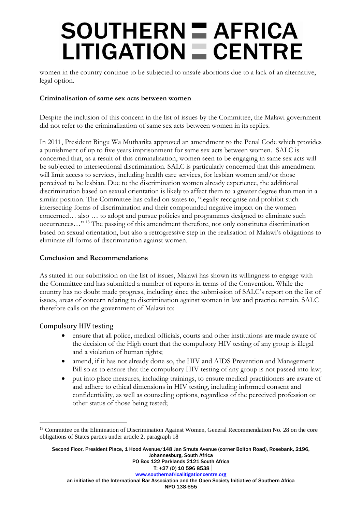# **SOUTHERN E AFRICA**  $LITIGATION \equiv CENTRE$

women in the country continue to be subjected to unsafe abortions due to a lack of an alternative, legal option.

#### <span id="page-5-0"></span>**Criminalisation of same sex acts between women**

Despite the inclusion of this concern in the list of issues by the Committee, the Malawi government did not refer to the criminalization of same sex acts between women in its replies.

In 2011, President Bingu Wa Mutharika approved an amendment to the Penal Code which provides a punishment of up to five years imprisonment for same sex acts between women. SALC is concerned that, as a result of this criminalisation, women seen to be engaging in same sex acts will be subjected to intersectional discrimination. SALC is particularly concerned that this amendment will limit access to services, including health care services, for lesbian women and/or those perceived to be lesbian. Due to the discrimination women already experience, the additional discrimination based on sexual orientation is likely to affect them to a greater degree than men in a similar position. The Committee has called on states to, "legally recognise and prohibit such intersecting forms of discrimination and their compounded negative impact on the women concerned… also … to adopt and pursue policies and programmes designed to eliminate such occurrences…" <sup>13</sup> The passing of this amendment therefore, not only constitutes discrimination based on sexual orientation, but also a retrogressive step in the realisation of Malawi's obligations to eliminate all forms of discrimination against women.

#### <span id="page-5-1"></span>**Conclusion and Recommendations**

As stated in our submission on the list of issues, Malawi has shown its willingness to engage with the Committee and has submitted a number of reports in terms of the Convention. While the country has no doubt made progress, including since the submission of SALC's report on the list of issues, areas of concern relating to discrimination against women in law and practice remain. SALC therefore calls on the government of Malawi to:

#### <span id="page-5-2"></span>Compulsory HIV testing

 $\overline{a}$ 

- ensure that all police, medical officials, courts and other institutions are made aware of the decision of the High court that the compulsory HIV testing of any group is illegal and a violation of human rights;
- amend, if it has not already done so, the HIV and AIDS Prevention and Management Bill so as to ensure that the compulsory HIV testing of any group is not passed into law;
- put into place measures, including trainings, to ensure medical practitioners are aware of and adhere to ethical dimensions in HIV testing, including informed consent and confidentiality, as well as counseling options, regardless of the perceived profession or other status of those being tested;

Second Floor, President Place, 1 Hood Avenue/148 Jan Smuts Avenue (corner Bolton Road), Rosebank, 2196, Johannesburg, South Africa PO Box 122 Parklands 2121 South Africa  $|T: +27(0)$  10 596 8538 [www.southernafricalitigationcentre.org](http://www.southernafricalitigationcentre.org/)

<sup>&</sup>lt;sup>13</sup> Committee on the Elimination of Discrimination Against Women, General Recommendation No. 28 on the core obligations of States parties under article 2, paragraph 18